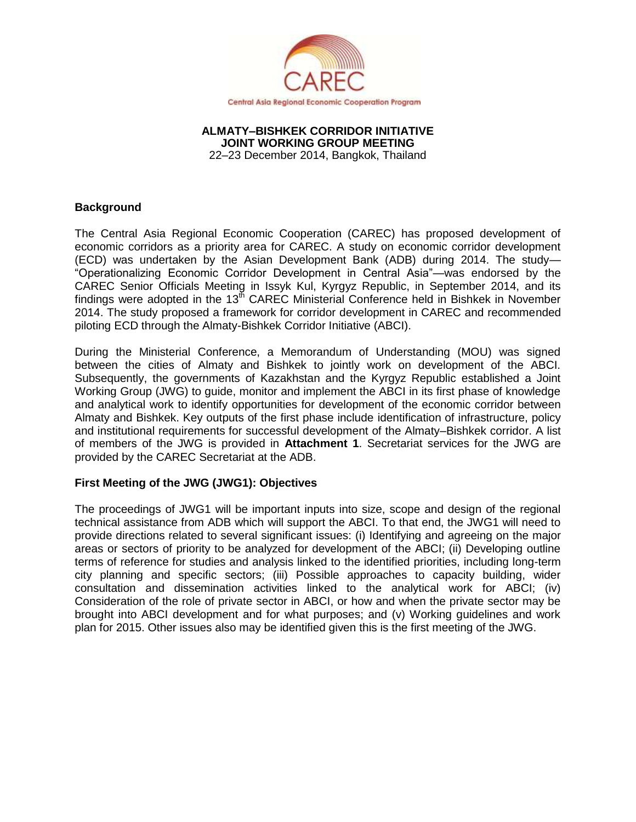

#### **ALMATY–BISHKEK CORRIDOR INITIATIVE JOINT WORKING GROUP MEETING** 22–23 December 2014, Bangkok, Thailand

### **Background**

The Central Asia Regional Economic Cooperation (CAREC) has proposed development of economic corridors as a priority area for CAREC. A study on economic corridor development (ECD) was undertaken by the Asian Development Bank (ADB) during 2014. The study— "Operationalizing Economic Corridor Development in Central Asia"—was endorsed by the CAREC Senior Officials Meeting in Issyk Kul, Kyrgyz Republic, in September 2014, and its findings were adopted in the  $13<sup>th</sup>$  CAREC Ministerial Conference held in Bishkek in November 2014. The study proposed a framework for corridor development in CAREC and recommended piloting ECD through the Almaty-Bishkek Corridor Initiative (ABCI).

During the Ministerial Conference, a Memorandum of Understanding (MOU) was signed between the cities of Almaty and Bishkek to jointly work on development of the ABCI. Subsequently, the governments of Kazakhstan and the Kyrgyz Republic established a Joint Working Group (JWG) to guide, monitor and implement the ABCI in its first phase of knowledge and analytical work to identify opportunities for development of the economic corridor between Almaty and Bishkek. Key outputs of the first phase include identification of infrastructure, policy and institutional requirements for successful development of the Almaty–Bishkek corridor. A list of members of the JWG is provided in **Attachment 1**. Secretariat services for the JWG are provided by the CAREC Secretariat at the ADB.

# **First Meeting of the JWG (JWG1): Objectives**

The proceedings of JWG1 will be important inputs into size, scope and design of the regional technical assistance from ADB which will support the ABCI. To that end, the JWG1 will need to provide directions related to several significant issues: (i) Identifying and agreeing on the major areas or sectors of priority to be analyzed for development of the ABCI; (ii) Developing outline terms of reference for studies and analysis linked to the identified priorities, including long-term city planning and specific sectors; (iii) Possible approaches to capacity building, wider consultation and dissemination activities linked to the analytical work for ABCI; (iv) Consideration of the role of private sector in ABCI, or how and when the private sector may be brought into ABCI development and for what purposes; and (v) Working guidelines and work plan for 2015. Other issues also may be identified given this is the first meeting of the JWG.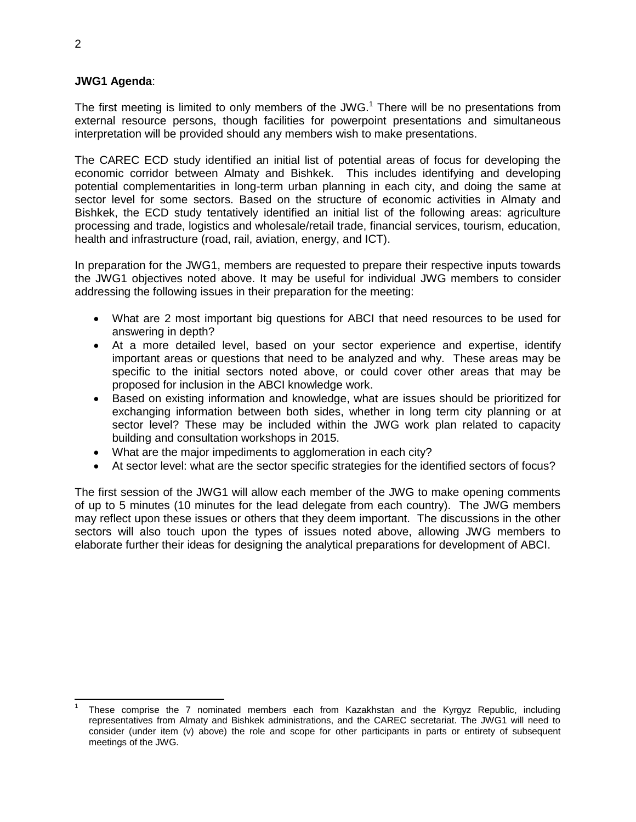### **JWG1 Agenda**:

The first meeting is limited to only members of the JWG.<sup>1</sup> There will be no presentations from external resource persons, though facilities for powerpoint presentations and simultaneous interpretation will be provided should any members wish to make presentations.

The CAREC ECD study identified an initial list of potential areas of focus for developing the economic corridor between Almaty and Bishkek. This includes identifying and developing potential complementarities in long-term urban planning in each city, and doing the same at sector level for some sectors. Based on the structure of economic activities in Almaty and Bishkek, the ECD study tentatively identified an initial list of the following areas: agriculture processing and trade, logistics and wholesale/retail trade, financial services, tourism, education, health and infrastructure (road, rail, aviation, energy, and ICT).

In preparation for the JWG1, members are requested to prepare their respective inputs towards the JWG1 objectives noted above. It may be useful for individual JWG members to consider addressing the following issues in their preparation for the meeting:

- What are 2 most important big questions for ABCI that need resources to be used for answering in depth?
- At a more detailed level, based on your sector experience and expertise, identify important areas or questions that need to be analyzed and why. These areas may be specific to the initial sectors noted above, or could cover other areas that may be proposed for inclusion in the ABCI knowledge work.
- Based on existing information and knowledge, what are issues should be prioritized for exchanging information between both sides, whether in long term city planning or at sector level? These may be included within the JWG work plan related to capacity building and consultation workshops in 2015.
- What are the major impediments to agglomeration in each city?
- At sector level: what are the sector specific strategies for the identified sectors of focus?

The first session of the JWG1 will allow each member of the JWG to make opening comments of up to 5 minutes (10 minutes for the lead delegate from each country). The JWG members may reflect upon these issues or others that they deem important. The discussions in the other sectors will also touch upon the types of issues noted above, allowing JWG members to elaborate further their ideas for designing the analytical preparations for development of ABCI.

 $\overline{a}$ 1 These comprise the 7 nominated members each from Kazakhstan and the Kyrgyz Republic, including representatives from Almaty and Bishkek administrations, and the CAREC secretariat. The JWG1 will need to consider (under item (v) above) the role and scope for other participants in parts or entirety of subsequent meetings of the JWG.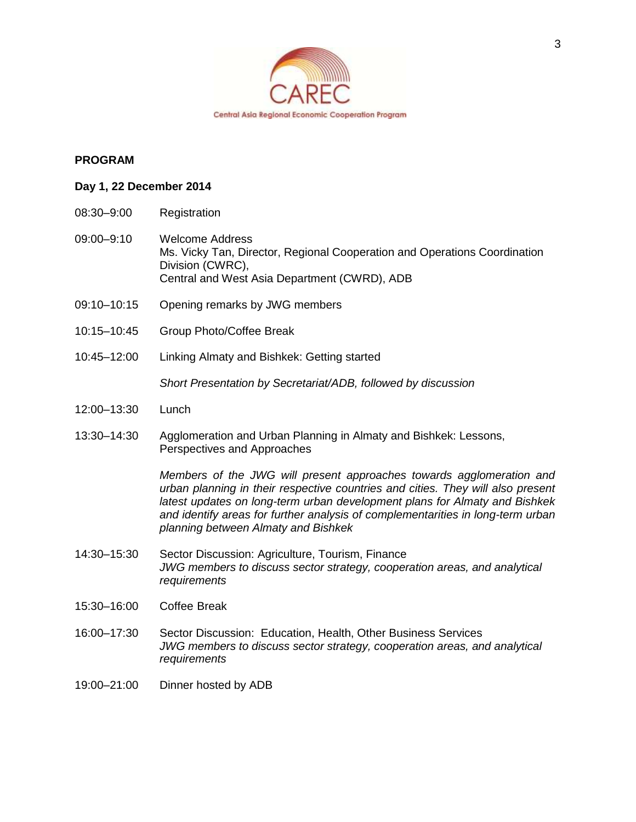

# **PROGRAM**

#### **Day 1, 22 December 2014**

- 08:30–9:00 Registration
- 09:00–9:10 Welcome Address Ms. Vicky Tan, Director, Regional Cooperation and Operations Coordination Division (CWRC), Central and West Asia Department (CWRD), ADB
- 09:10–10:15 Opening remarks by JWG members
- 10:15–10:45 Group Photo/Coffee Break
- 10:45–12:00 Linking Almaty and Bishkek: Getting started

*Short Presentation by Secretariat/ADB, followed by discussion*

- 12:00–13:30 Lunch
- 13:30–14:30 Agglomeration and Urban Planning in Almaty and Bishkek: Lessons, Perspectives and Approaches

*Members of the JWG will present approaches towards agglomeration and urban planning in their respective countries and cities. They will also present latest updates on long-term urban development plans for Almaty and Bishkek and identify areas for further analysis of complementarities in long-term urban planning between Almaty and Bishkek*

- 14:30–15:30 Sector Discussion: Agriculture, Tourism, Finance *JWG members to discuss sector strategy, cooperation areas, and analytical requirements*
- 15:30–16:00 Coffee Break
- 16:00–17:30 Sector Discussion: Education, Health, Other Business Services *JWG members to discuss sector strategy, cooperation areas, and analytical requirements*
- 19:00–21:00 Dinner hosted by ADB